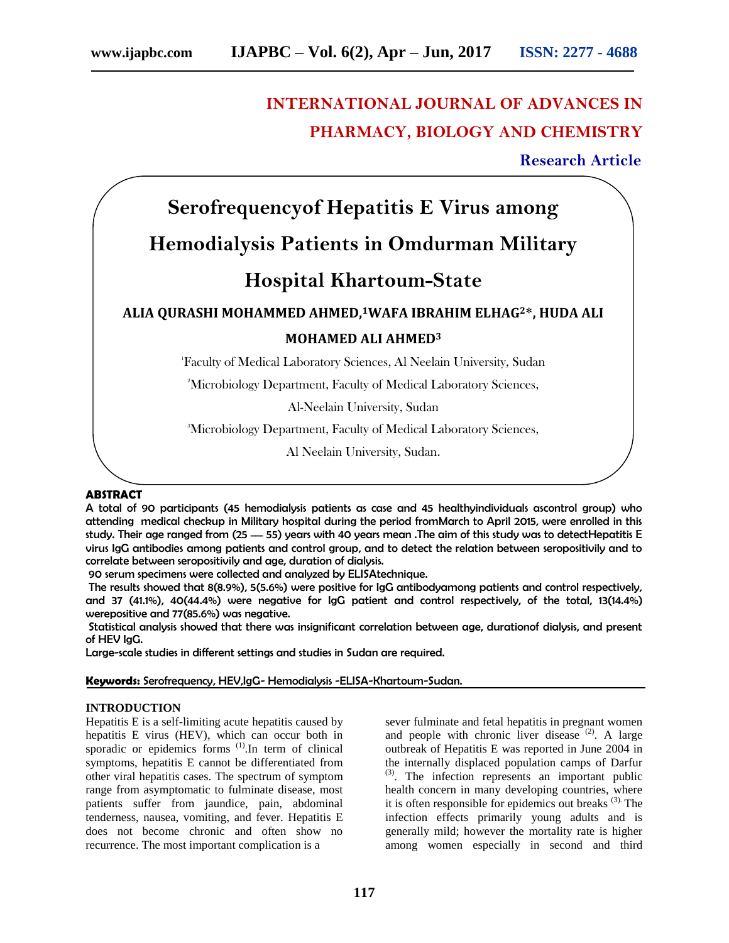# **INTERNATIONAL JOURNAL OF ADVANCES IN PHARMACY, BIOLOGY AND CHEMISTRY**

 **Research Article**

# **Serofrequencyof Hepatitis E Virus among Hemodialysis Patients in Omdurman Military Hospital Khartoum-State ALIA QURASHI MOHAMMED AHMED,1WAFA IBRAHIM ELHAG2**\***, HUDA ALI MOHAMED ALI AHMED<sup>3</sup>** 1 Faculty of Medical Laboratory Sciences, Al Neelain University, Sudan <sup>2</sup>Microbiology Department, Faculty of Medical Laboratory Sciences, Al-Neelain University, Sudan <sup>3</sup>Microbiology Department, Faculty of Medical Laboratory Sciences,

Al Neelain University, Sudan.

# **ABSTRACT**

A total of 90 participants (45 hemodialysis patients as case and 45 healthyindividuals ascontrol group) who attending medical checkup in Military hospital during the period fromMarch to April 2015, were enrolled in this study. Their age ranged from (25 - 55) years with 40 years mean .The aim of this study was to detectHepatitis E virus IgG antibodies among patients and control group, and to detect the relation between seropositivily and to correlate between seropositivily and age, duration of dialysis.

90 serum specimens were collected and analyzed by ELISAtechnique.

The results showed that 8(8.9%), 5(5.6%) were positive for IgG antibodyamong patients and control respectively, and 37 (41.1%), 40(44.4%) were negative for IgG patient and control respectively, of the total, 13(14.4%) werepositive and 77(85.6%) was negative.

Statistical analysis showed that there was insignificant correlation between age, durationof dialysis, and present of HEV IgG.

Large-scale studies in different settings and studies in Sudan are required.

**Keywords:** Serofrequency, HEV,IgG- Hemodialysis -ELISA-Khartoum-Sudan.

# **INTRODUCTION**

Hepatitis E is a self-limiting acute hepatitis caused by hepatitis E virus (HEV), which can occur both in sporadic or epidemics forms  $(1)$ . In term of clinical symptoms, hepatitis E cannot be differentiated from other viral hepatitis cases. The spectrum of symptom range from asymptomatic to fulminate disease, most patients suffer from jaundice, pain, abdominal tenderness, nausea, vomiting, and fever. Hepatitis E does not become chronic and often show no recurrence. The most important complication is a

sever fulminate and fetal hepatitis in pregnant women and people with chronic liver disease  $(2)$ . A large outbreak of Hepatitis E was reported in June 2004 in the internally displaced population camps of Darfur (3). The infection represents an important public health concern in many developing countries, where it is often responsible for epidemics out breaks (3). The infection effects primarily young adults and is generally mild; however the mortality rate is higher among women especially in second and third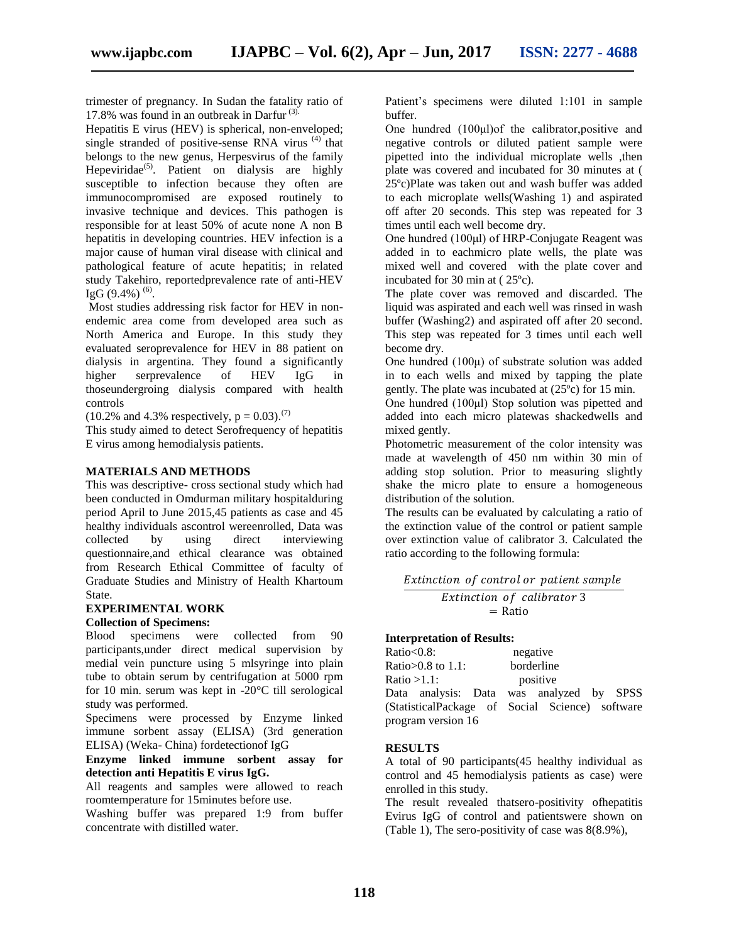trimester of pregnancy. In Sudan the fatality ratio of 17.8% was found in an outbreak in Darfur (3).

Hepatitis E virus (HEV) is spherical, non-enveloped; single stranded of positive-sense RNA virus  $(4)$  that belongs to the new genus, Herpesvirus of the family Hepeviridae<sup>(5)</sup>. Patient on dialysis are highly susceptible to infection because they often are immunocompromised are exposed routinely to invasive technique and devices. This pathogen is responsible for at least 50% of acute none A non B hepatitis in developing countries. HEV infection is a major cause of human viral disease with clinical and pathological feature of acute hepatitis; in related study Takehiro, reportedprevalence rate of anti-HEV IgG  $(9.4\%)$ <sup>(6)</sup>.

Most studies addressing risk factor for HEV in nonendemic area come from developed area such as North America and Europe. In this study they evaluated seroprevalence for HEV in 88 patient on dialysis in argentina. They found a significantly higher serprevalence of HEV IgG in thoseundergroing dialysis compared with health controls

 $(10.2\% \text{ and } 4.3\% \text{ respectively, p} = 0.03).^{(7)}$ 

This study aimed to detect Serofrequency of hepatitis E virus among hemodialysis patients.

### **MATERIALS AND METHODS**

This was descriptive- cross sectional study which had been conducted in Omdurman military hospitalduring period April to June 2015,45 patients as case and 45 healthy individuals ascontrol were enrolled, Data was<br>collected by using direct interviewing by using direct interviewing questionnaire,and ethical clearance was obtained from Research Ethical Committee of faculty of Graduate Studies and Ministry of Health Khartoum State.

# **EXPERIMENTAL WORK**

# **Collection of Specimens:**

Blood specimens were collected from 90 participants,under direct medical supervision by medial vein puncture using 5 mlsyringe into plain tube to obtain serum by centrifugation at 5000 rpm for 10 min. serum was kept in -20°C till serological study was performed.

Specimens were processed by Enzyme linked immune sorbent assay (ELISA) (3rd generation ELISA) (Weka- China) fordetectionof IgG

**Enzyme linked immune sorbent assay for detection anti Hepatitis E virus IgG.**

All reagents and samples were allowed to reach roomtemperature for 15minutes before use.

Washing buffer was prepared 1:9 from buffer concentrate with distilled water.

Patient's specimens were diluted 1:101 in sample buffer.

One hundred (100μl)of the calibrator,positive and negative controls or diluted patient sample were pipetted into the individual microplate wells ,then plate was covered and incubated for 30 minutes at ( 25ºc)Plate was taken out and wash buffer was added to each microplate wells(Washing 1) and aspirated off after 20 seconds. This step was repeated for 3 times until each well become dry.

One hundred (100μl) of HRP-Conjugate Reagent was added in to eachmicro plate wells, the plate was mixed well and covered with the plate cover and incubated for 30 min at ( 25ºc).

The plate cover was removed and discarded. The liquid was aspirated and each well was rinsed in wash buffer (Washing2) and aspirated off after 20 second. This step was repeated for 3 times until each well become dry.

One hundred  $(100\mu)$  of substrate solution was added in to each wells and mixed by tapping the plate gently. The plate was incubated at (25ºc) for 15 min.

One hundred (100μl) Stop solution was pipetted and added into each micro platewas shackedwells and mixed gently.

Photometric measurement of the color intensity was made at wavelength of 450 nm within 30 min of adding stop solution. Prior to measuring slightly shake the micro plate to ensure a homogeneous distribution of the solution.

The results can be evaluated by calculating a ratio of the extinction value of the control or patient sample over extinction value of calibrator 3. Calculated the ratio according to the following formula:

| Extinction of control or patient sample |  |
|-----------------------------------------|--|
|-----------------------------------------|--|

Extinction of calibrator 3 = Ratio

#### **Interpretation of Results:**

| Ratio $< 0.8$ :      | negative                                        |  |  |
|----------------------|-------------------------------------------------|--|--|
| Ratio $>0.8$ to 1.1: | borderline                                      |  |  |
| Ratio $>1.1$ :       | positive                                        |  |  |
|                      | Data analysis: Data was analyzed by SPSS        |  |  |
|                      | (StatisticalPackage of Social Science) software |  |  |
| program version 16   |                                                 |  |  |

# **RESULTS**

A total of 90 participants(45 healthy individual as control and 45 hemodialysis patients as case) were enrolled in this study.

The result revealed thatsero-positivity ofhepatitis Evirus IgG of control and patientswere shown on (Table 1), The sero-positivity of case was 8(8.9%),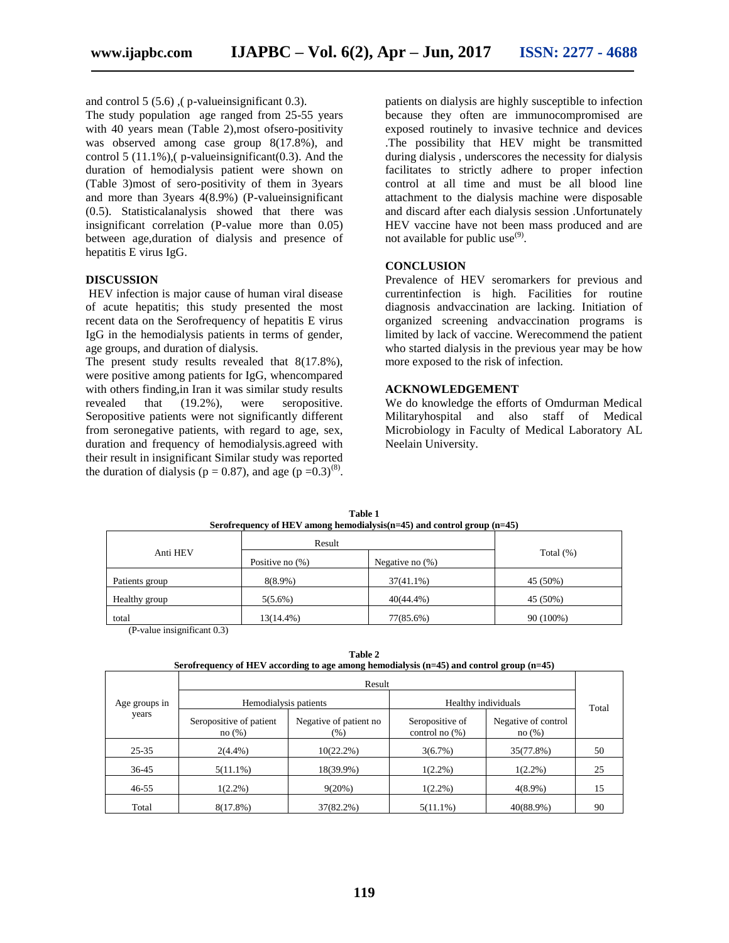and control 5 (5.6) ,( p-valueinsignificant 0.3).

The study population age ranged from 25-55 years with 40 years mean (Table 2),most ofsero-positivity was observed among case group 8(17.8%), and control 5 (11.1%),  $(p$ -valueinsignificant  $(0.3)$ . And the duration of hemodialysis patient were shown on (Table 3)most of sero-positivity of them in 3years and more than 3years 4(8.9%) (P-valueinsignificant (0.5). Statisticalanalysis showed that there was insignificant correlation (P-value more than 0.05) between age,duration of dialysis and presence of hepatitis E virus IgG.

#### **DISCUSSION**

HEV infection is major cause of human viral disease of acute hepatitis; this study presented the most recent data on the Serofrequency of hepatitis E virus IgG in the hemodialysis patients in terms of gender, age groups, and duration of dialysis.

The present study results revealed that 8(17.8%), were positive among patients for IgG, whencompared with others finding,in Iran it was similar study results revealed that (19.2%), were seropositive. Seropositive patients were not significantly different from seronegative patients, with regard to age, sex, duration and frequency of hemodialysis.agreed with their result in insignificant Similar study was reported the duration of dialysis ( $p = 0.87$ ), and age ( $p = 0.3$ )<sup>(8)</sup>.

patients on dialysis are highly susceptible to infection because they often are immunocompromised are exposed routinely to invasive technice and devices .The possibility that HEV might be transmitted during dialysis , underscores the necessity for dialysis facilitates to strictly adhere to proper infection control at all time and must be all blood line attachment to the dialysis machine were disposable and discard after each dialysis session .Unfortunately HEV vaccine have not been mass produced and are not available for public use<sup>(9)</sup>.

#### **CONCLUSION**

Prevalence of HEV seromarkers for previous and currentinfection is high. Facilities for routine diagnosis andvaccination are lacking. Initiation of organized screening andvaccination programs is limited by lack of vaccine. Werecommend the patient who started dialysis in the previous year may be how more exposed to the risk of infection.

#### **ACKNOWLEDGEMENT**

We do knowledge the efforts of Omdurman Medical Militaryhospital and also staff of Medical Microbiology in Faculty of Medical Laboratory AL Neelain University.

| ------         |                    |                    |              |  |
|----------------|--------------------|--------------------|--------------|--|
|                | Result             |                    |              |  |
| Anti HEV       | Positive no $(\%)$ | Negative no $(\%)$ | Total $(\%)$ |  |
| Patients group | $8(8.9\%)$         | $37(41.1\%)$       | 45 (50%)     |  |
| Healthy group  | $5(5.6\%)$         | $40(44.4\%)$       | 45 (50%)     |  |
| total<br>.     | 13(14.4%)          | 77(85.6%)          | 90 (100%)    |  |

**Table 1 Serofrequency of HEV among hemodialysis(n=45) and control group (n=45)**

(P-value insignificant 0.3)

**Table 2 Serofrequency of HEV according to age among hemodialysis (n=45) and control group (n=45)**

|               |                                  | Result                           |                                      |                              |       |
|---------------|----------------------------------|----------------------------------|--------------------------------------|------------------------------|-------|
| Age groups in | Hemodialysis patients            |                                  | Healthy individuals                  |                              | Total |
| years         | Seropositive of patient<br>no(%) | Negative of patient no<br>$(\%)$ | Seropositive of<br>control no $(\%)$ | Negative of control<br>no(%) |       |
| $25 - 35$     | $2(4.4\%)$                       | $10(22.2\%)$                     | 3(6.7%)                              | 35(77.8%)                    | 50    |
| 36-45         | $5(11.1\%)$                      | 18(39.9%)                        | $1(2.2\%)$                           | $1(2.2\%)$                   | 25    |
| $46 - 55$     | $1(2.2\%)$                       | 9(20%)                           | $1(2.2\%)$                           | $4(8.9\%)$                   | 15    |
| Total         | $8(17.8\%)$                      | 37(82.2%)                        | $5(11.1\%)$                          | 40(88.9%)                    | 90    |